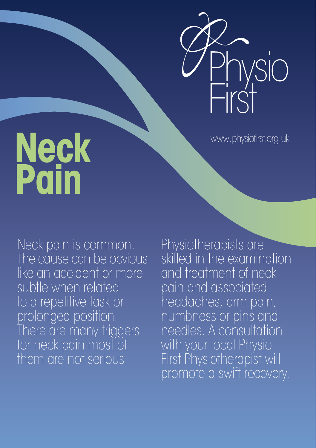

www.physiofirst.org.uk

# **Neck Pain**

Neck pain is common. The cause can be obvious like an accident or more subtle when related to a repetitive task or prolonged position. There are many triggers for neck pain most of them are not serious.

Physiotherapists are skilled in the examination and treatment of neck pain and associated headaches, arm pain, numbness or pins and needles. A consultation with your local Physio First Physiotherapist will promote a swift recovery.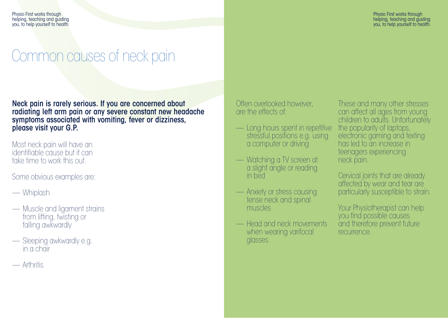Physio First works through helping, teaching and guiding you, to help yourself to health.

### Common causes of neck pain

Neck pain is rarely serious. If you are concerned about radiating left arm pain or any severe constant new headache symptoms associated with vomiting, fever or dizziness, please visit your G.P.

Most neck pain will have an identifiable cause but it can take time to work this out.

Some obvious examples are:

- Whiplash
- Muscle and ligament strains from lifting, twisting or falling awkwardly
- Sleeping awkwardly e.g. in a chair
- Arthritis.

Often overlooked however, are the effects of:

- Long hours spent in repetitive stressful positions e.g. using a computer or driving
- Watching a TV screen at a slight angle or reading in bed
- Anxiety or stress causing<br>tense neck and spinal muscles
- Head and neck movements when wearing varifocal glasses.

These and many other stresses can affect all ages from young children to adults. Unfortunately the popularity of laptops, electronic gaming and texting has led to an increase in teenagers experiencing neck pain.

Cervical joints that are already affected by wear and tear are particularly susceptible to strain.

Your Physiotherapist can help you find possible causes and therefore prevent future recurrence.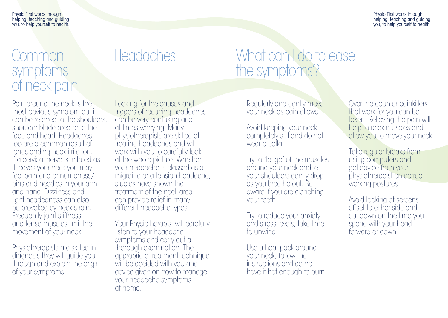Physio First works through helping, teaching and guiding you, to help yourself to health.

Physio First works through helping, teaching and guiding you, to help yourself to health.

#### Common symptoms of neck pain

## Headaches

### What can I do to ease the symptoms?

Pain around the neck is the most obvious symptom but it can be referred to the shoulders, shoulder blade area or to the face and head. Headaches too are a common result of longstanding neck irritation. If a cervical nerve is irritated as it leaves your neck you may feel pain and or numbness/ pins and needles in your arm and hand. Dizziness and light headedness can also be provoked by neck strain. Frequently joint stiffness and tense muscles limit the movement of your neck.

Physiotherapists are skilled in diagnosis they will guide you through and explain the origin of your symptoms.

Looking for the causes and triggers of recurring headaches can be very confusing and at times worrying. Many physiotherapists are skilled at treating headaches and will work with you to carefully look at the whole picture. Whether your headache is classed as a migraine or a tension headache, studies have shown that treatment of the neck area can provide relief in many different headache types.

Your Physiotherapist will carefully listen to your headache symptoms and carry out a thorough examination. The appropriate treatment technique will be decided with you and advice given on how to manage your headache symptoms at home.

- Regularly and gently move your neck as pain allows
- Avoid keeping your neck completely still and do not wear a collar
- Try to 'let go' of the muscles around your neck and let your shoulders gently drop as you breathe out. Be aware if you are clenching your teeth
- Try to reduce your anxiety and stress levels, take time to unwind
- Use a heat pack around<br>vour neck, follow the instructions and do not have it hot enough to burn
- Over the counter painkillers that work for you can be taken. Relieving the pain will help to relax muscles and allow you to move your neck
- Take regular breaks from using computers and get advice from your physiotherapist on correct working postures
- Avoid looking at screens offset to either side and cut down on the time you spend with your head forward or down.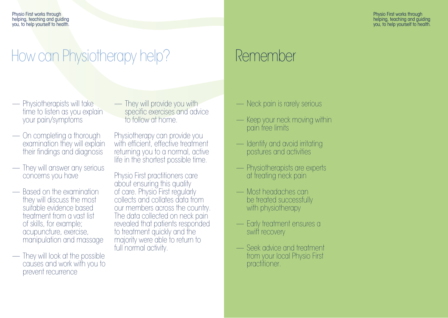Physio First works through helping, teaching and guiding you, to help yourself to health.

Physio First works through helping, teaching and guiding you, to help yourself to health.

## How can Physiotherapy help? Remember

- Physiotherapists will take<br>time to listen as you explain<br>vour pain/symptoms
- On completing a thorough examination they will explain their findings and diagnosis
- They will answer any serious concerns you have
- Based on the examination they will discuss the most suitable evidence based treatment from a vast list of skills, for example; manipulation and massage
- They will look at the possible causes and work with you to prevent recurrence

— They will provide you with<br>specific exercises and advice<br>to follow at home.

Physiotherapy can provide you with efficient, effective treatment returning you to a normal, active life in the shortest possible time.

Physio First practitioners care about ensuring this quality of care. Physio First regularly collects and collates data from our members across the country. The data collected on neck pain revealed that patients responded to treatment quickly and the majority were able to return to full normal activity.

- Neck pain is rarely serious
- Keep your neck moving within pain free limits
- **Identify and avoid irritating** postures and activities
- Physiotherapists are experts at treating neck pain
- Most headaches can be treated successfully with physiotherapy
- Early treatment ensures a swift recovery
- Seek advice and treatment from your local Physio First practitioner.